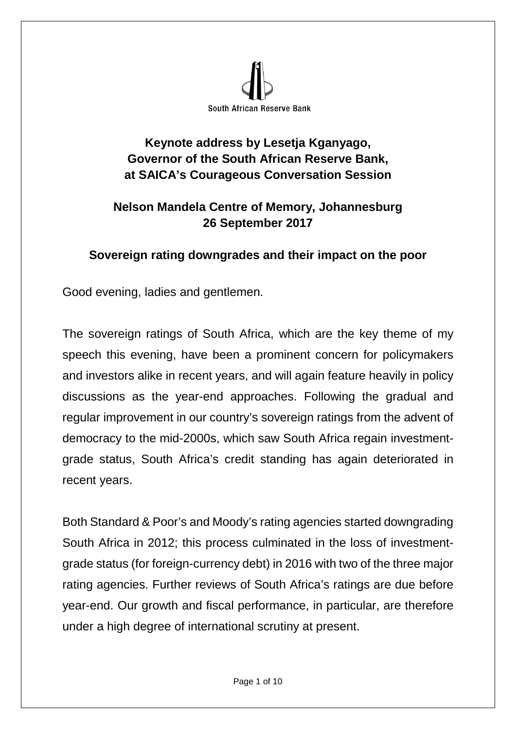

## **Keynote address by Lesetja Kganyago, Governor of the South African Reserve Bank, at SAICA's Courageous Conversation Session**

## **Nelson Mandela Centre of Memory, Johannesburg 26 September 2017**

## **Sovereign rating downgrades and their impact on the poor**

Good evening, ladies and gentlemen.

The sovereign ratings of South Africa, which are the key theme of my speech this evening, have been a prominent concern for policymakers and investors alike in recent years, and will again feature heavily in policy discussions as the year-end approaches. Following the gradual and regular improvement in our country's sovereign ratings from the advent of democracy to the mid-2000s, which saw South Africa regain investmentgrade status, South Africa's credit standing has again deteriorated in recent years.

Both Standard & Poor's and Moody's rating agencies started downgrading South Africa in 2012; this process culminated in the loss of investmentgrade status (for foreign-currency debt) in 2016 with two of the three major rating agencies. Further reviews of South Africa's ratings are due before year-end. Our growth and fiscal performance, in particular, are therefore under a high degree of international scrutiny at present.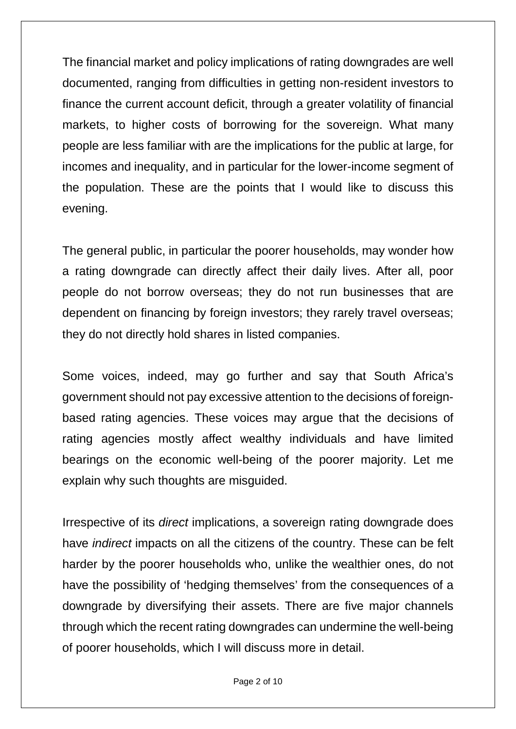The financial market and policy implications of rating downgrades are well documented, ranging from difficulties in getting non-resident investors to finance the current account deficit, through a greater volatility of financial markets, to higher costs of borrowing for the sovereign. What many people are less familiar with are the implications for the public at large, for incomes and inequality, and in particular for the lower-income segment of the population. These are the points that I would like to discuss this evening.

The general public, in particular the poorer households, may wonder how a rating downgrade can directly affect their daily lives. After all, poor people do not borrow overseas; they do not run businesses that are dependent on financing by foreign investors; they rarely travel overseas; they do not directly hold shares in listed companies.

Some voices, indeed, may go further and say that South Africa's government should not pay excessive attention to the decisions of foreignbased rating agencies. These voices may argue that the decisions of rating agencies mostly affect wealthy individuals and have limited bearings on the economic well-being of the poorer majority. Let me explain why such thoughts are misguided.

Irrespective of its *direct* implications, a sovereign rating downgrade does have *indirect* impacts on all the citizens of the country. These can be felt harder by the poorer households who, unlike the wealthier ones, do not have the possibility of 'hedging themselves' from the consequences of a downgrade by diversifying their assets. There are five major channels through which the recent rating downgrades can undermine the well-being of poorer households, which I will discuss more in detail.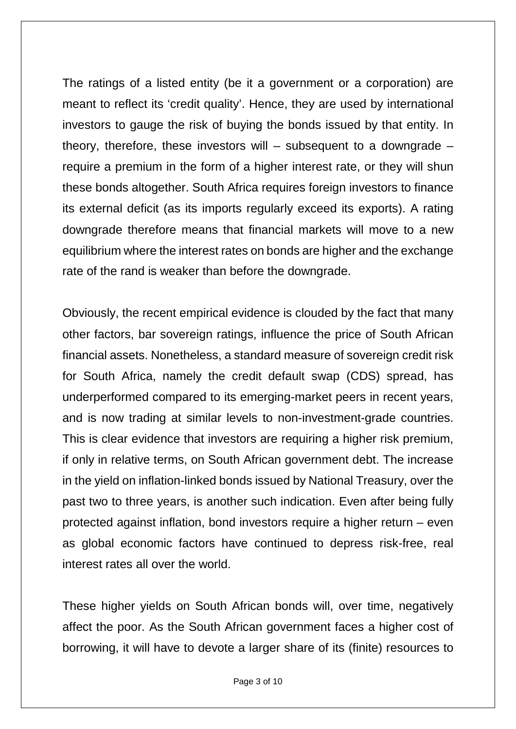The ratings of a listed entity (be it a government or a corporation) are meant to reflect its 'credit quality'. Hence, they are used by international investors to gauge the risk of buying the bonds issued by that entity. In theory, therefore, these investors will  $-$  subsequent to a downgrade  $$ require a premium in the form of a higher interest rate, or they will shun these bonds altogether. South Africa requires foreign investors to finance its external deficit (as its imports regularly exceed its exports). A rating downgrade therefore means that financial markets will move to a new equilibrium where the interest rates on bonds are higher and the exchange rate of the rand is weaker than before the downgrade.

Obviously, the recent empirical evidence is clouded by the fact that many other factors, bar sovereign ratings, influence the price of South African financial assets. Nonetheless, a standard measure of sovereign credit risk for South Africa, namely the credit default swap (CDS) spread, has underperformed compared to its emerging-market peers in recent years, and is now trading at similar levels to non-investment-grade countries. This is clear evidence that investors are requiring a higher risk premium, if only in relative terms, on South African government debt. The increase in the yield on inflation-linked bonds issued by National Treasury, over the past two to three years, is another such indication. Even after being fully protected against inflation, bond investors require a higher return – even as global economic factors have continued to depress risk-free, real interest rates all over the world.

These higher yields on South African bonds will, over time, negatively affect the poor. As the South African government faces a higher cost of borrowing, it will have to devote a larger share of its (finite) resources to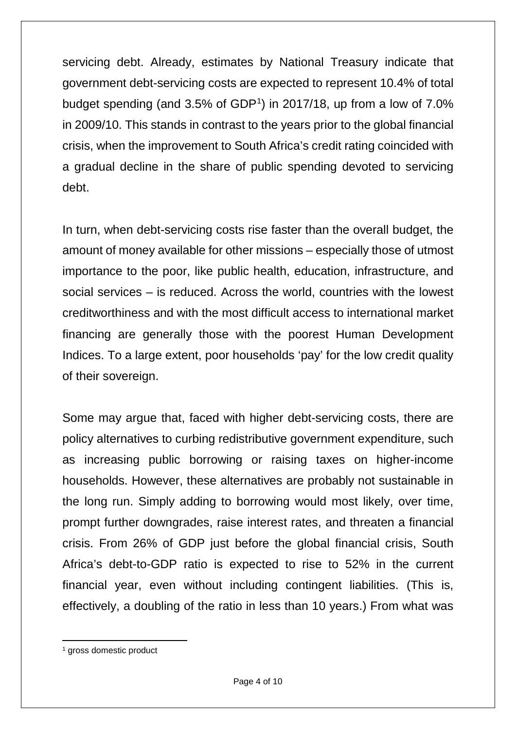servicing debt. Already, estimates by National Treasury indicate that government debt-servicing costs are expected to represent 10.4% of total budget spending (and  $3.5\%$  of GDP<sup>1</sup>) in 2017/18, up from a low of  $7.0\%$ in 2009/10. This stands in contrast to the years prior to the global financial crisis, when the improvement to South Africa's credit rating coincided with a gradual decline in the share of public spending devoted to servicing debt.

In turn, when debt-servicing costs rise faster than the overall budget, the amount of money available for other missions – especially those of utmost importance to the poor, like public health, education, infrastructure, and social services – is reduced. Across the world, countries with the lowest creditworthiness and with the most difficult access to international market financing are generally those with the poorest Human Development Indices. To a large extent, poor households 'pay' for the low credit quality of their sovereign.

Some may argue that, faced with higher debt-servicing costs, there are policy alternatives to curbing redistributive government expenditure, such as increasing public borrowing or raising taxes on higher-income households. However, these alternatives are probably not sustainable in the long run. Simply adding to borrowing would most likely, over time, prompt further downgrades, raise interest rates, and threaten a financial crisis. From 26% of GDP just before the global financial crisis, South Africa's debt-to-GDP ratio is expected to rise to 52% in the current financial year, even without including contingent liabilities. (This is, effectively, a doubling of the ratio in less than 10 years.) From what was

 $\overline{a}$ 

<span id="page-3-0"></span><sup>&</sup>lt;sup>1</sup> gross domestic product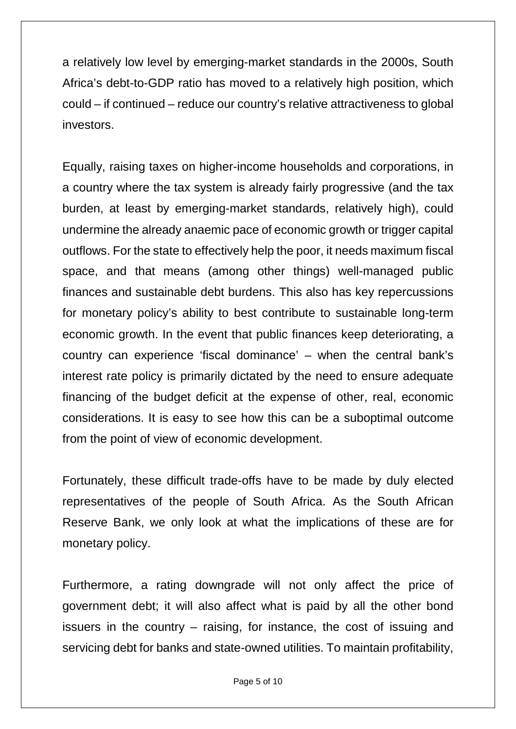a relatively low level by emerging-market standards in the 2000s, South Africa's debt-to-GDP ratio has moved to a relatively high position, which could – if continued – reduce our country's relative attractiveness to global investors.

Equally, raising taxes on higher-income households and corporations, in a country where the tax system is already fairly progressive (and the tax burden, at least by emerging-market standards, relatively high), could undermine the already anaemic pace of economic growth or trigger capital outflows. For the state to effectively help the poor, it needs maximum fiscal space, and that means (among other things) well-managed public finances and sustainable debt burdens. This also has key repercussions for monetary policy's ability to best contribute to sustainable long-term economic growth. In the event that public finances keep deteriorating, a country can experience 'fiscal dominance' – when the central bank's interest rate policy is primarily dictated by the need to ensure adequate financing of the budget deficit at the expense of other, real, economic considerations. It is easy to see how this can be a suboptimal outcome from the point of view of economic development.

Fortunately, these difficult trade-offs have to be made by duly elected representatives of the people of South Africa. As the South African Reserve Bank, we only look at what the implications of these are for monetary policy.

Furthermore, a rating downgrade will not only affect the price of government debt; it will also affect what is paid by all the other bond issuers in the country – raising, for instance, the cost of issuing and servicing debt for banks and state-owned utilities. To maintain profitability,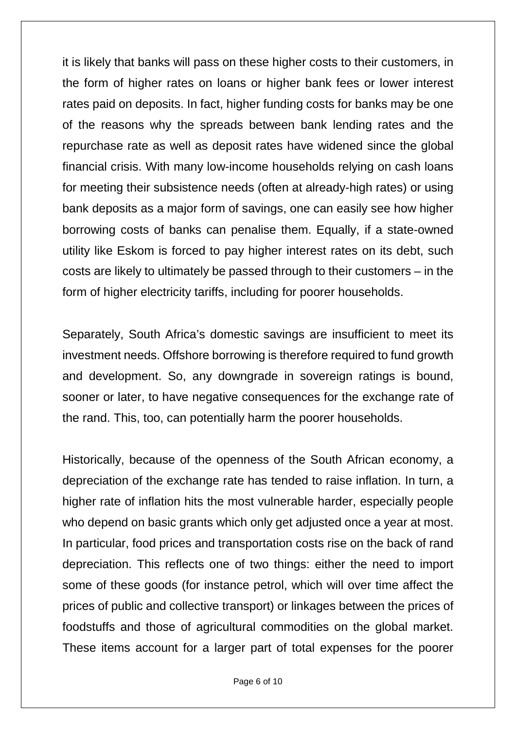it is likely that banks will pass on these higher costs to their customers, in the form of higher rates on loans or higher bank fees or lower interest rates paid on deposits. In fact, higher funding costs for banks may be one of the reasons why the spreads between bank lending rates and the repurchase rate as well as deposit rates have widened since the global financial crisis. With many low-income households relying on cash loans for meeting their subsistence needs (often at already-high rates) or using bank deposits as a major form of savings, one can easily see how higher borrowing costs of banks can penalise them. Equally, if a state-owned utility like Eskom is forced to pay higher interest rates on its debt, such costs are likely to ultimately be passed through to their customers – in the form of higher electricity tariffs, including for poorer households.

Separately, South Africa's domestic savings are insufficient to meet its investment needs. Offshore borrowing is therefore required to fund growth and development. So, any downgrade in sovereign ratings is bound, sooner or later, to have negative consequences for the exchange rate of the rand. This, too, can potentially harm the poorer households.

Historically, because of the openness of the South African economy, a depreciation of the exchange rate has tended to raise inflation. In turn, a higher rate of inflation hits the most vulnerable harder, especially people who depend on basic grants which only get adjusted once a year at most. In particular, food prices and transportation costs rise on the back of rand depreciation. This reflects one of two things: either the need to import some of these goods (for instance petrol, which will over time affect the prices of public and collective transport) or linkages between the prices of foodstuffs and those of agricultural commodities on the global market. These items account for a larger part of total expenses for the poorer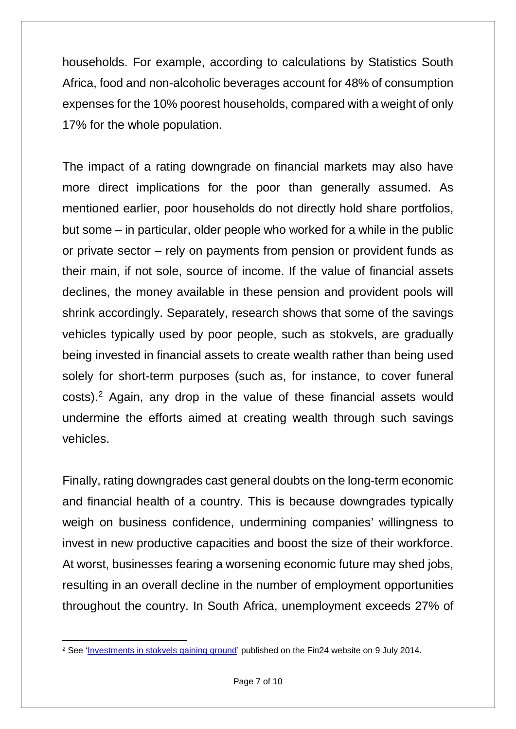households. For example, according to calculations by Statistics South Africa, food and non-alcoholic beverages account for 48% of consumption expenses for the 10% poorest households, compared with a weight of only 17% for the whole population.

The impact of a rating downgrade on financial markets may also have more direct implications for the poor than generally assumed. As mentioned earlier, poor households do not directly hold share portfolios, but some – in particular, older people who worked for a while in the public or private sector – rely on payments from pension or provident funds as their main, if not sole, source of income. If the value of financial assets declines, the money available in these pension and provident pools will shrink accordingly. Separately, research shows that some of the savings vehicles typically used by poor people, such as stokvels, are gradually being invested in financial assets to create wealth rather than being used solely for short-term purposes (such as, for instance, to cover funeral costs). [2](#page-6-0) Again, any drop in the value of these financial assets would undermine the efforts aimed at creating wealth through such savings vehicles.

Finally, rating downgrades cast general doubts on the long-term economic and financial health of a country. This is because downgrades typically weigh on business confidence, undermining companies' willingness to invest in new productive capacities and boost the size of their workforce. At worst, businesses fearing a worsening economic future may shed jobs, resulting in an overall decline in the number of employment opportunities throughout the country. In South Africa, unemployment exceeds 27% of

<span id="page-6-0"></span> $\overline{a}$ <sup>2</sup> See '<u>Investments in stokvels gaining ground</u>' published on the Fin24 website on 9 July 2014.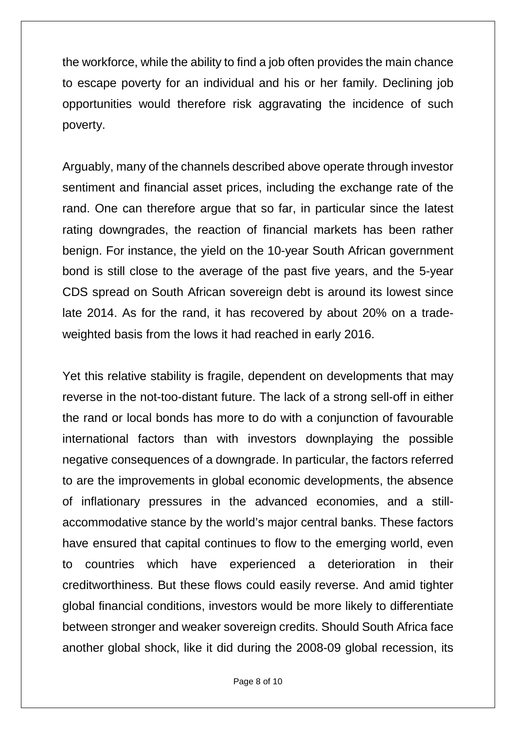the workforce, while the ability to find a job often provides the main chance to escape poverty for an individual and his or her family. Declining job opportunities would therefore risk aggravating the incidence of such poverty.

Arguably, many of the channels described above operate through investor sentiment and financial asset prices, including the exchange rate of the rand. One can therefore argue that so far, in particular since the latest rating downgrades, the reaction of financial markets has been rather benign. For instance, the yield on the 10-year South African government bond is still close to the average of the past five years, and the 5-year CDS spread on South African sovereign debt is around its lowest since late 2014. As for the rand, it has recovered by about 20% on a tradeweighted basis from the lows it had reached in early 2016.

Yet this relative stability is fragile, dependent on developments that may reverse in the not-too-distant future. The lack of a strong sell-off in either the rand or local bonds has more to do with a conjunction of favourable international factors than with investors downplaying the possible negative consequences of a downgrade. In particular, the factors referred to are the improvements in global economic developments, the absence of inflationary pressures in the advanced economies, and a stillaccommodative stance by the world's major central banks. These factors have ensured that capital continues to flow to the emerging world, even to countries which have experienced a deterioration in their creditworthiness. But these flows could easily reverse. And amid tighter global financial conditions, investors would be more likely to differentiate between stronger and weaker sovereign credits. Should South Africa face another global shock, like it did during the 2008-09 global recession, its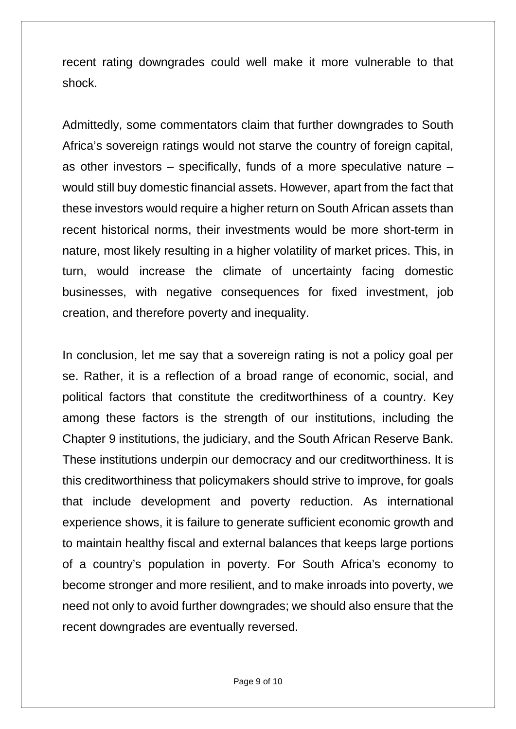recent rating downgrades could well make it more vulnerable to that shock.

Admittedly, some commentators claim that further downgrades to South Africa's sovereign ratings would not starve the country of foreign capital, as other investors – specifically, funds of a more speculative nature – would still buy domestic financial assets. However, apart from the fact that these investors would require a higher return on South African assets than recent historical norms, their investments would be more short-term in nature, most likely resulting in a higher volatility of market prices. This, in turn, would increase the climate of uncertainty facing domestic businesses, with negative consequences for fixed investment, job creation, and therefore poverty and inequality.

In conclusion, let me say that a sovereign rating is not a policy goal per se. Rather, it is a reflection of a broad range of economic, social, and political factors that constitute the creditworthiness of a country. Key among these factors is the strength of our institutions, including the Chapter 9 institutions, the judiciary, and the South African Reserve Bank. These institutions underpin our democracy and our creditworthiness. It is this creditworthiness that policymakers should strive to improve, for goals that include development and poverty reduction. As international experience shows, it is failure to generate sufficient economic growth and to maintain healthy fiscal and external balances that keeps large portions of a country's population in poverty. For South Africa's economy to become stronger and more resilient, and to make inroads into poverty, we need not only to avoid further downgrades; we should also ensure that the recent downgrades are eventually reversed.